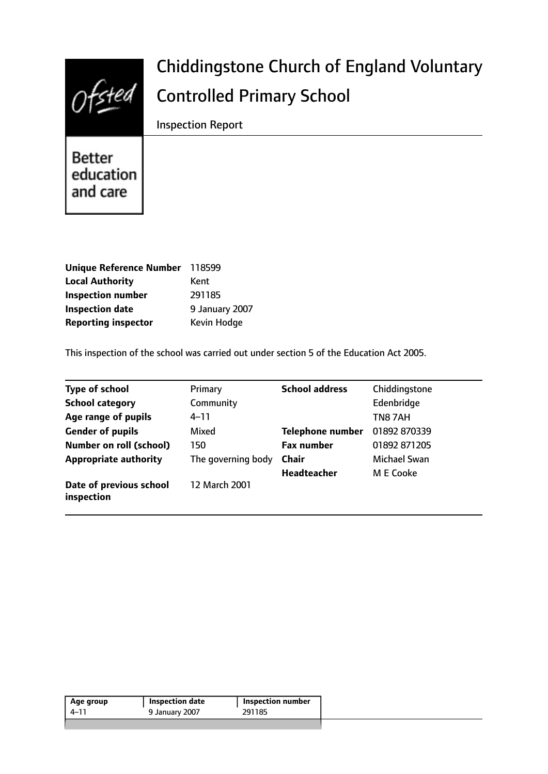|                                 | <b>Chiddingstone Church of England Voluntary</b> |
|---------------------------------|--------------------------------------------------|
|                                 | <b>Controlled Primary School</b>                 |
|                                 | <b>Inspection Report</b>                         |
| Better<br>education<br>and care |                                                  |

| Unique Reference Number 118599 |                |
|--------------------------------|----------------|
| <b>Local Authority</b>         | Kent           |
| <b>Inspection number</b>       | 291185         |
| <b>Inspection date</b>         | 9 January 2007 |
| <b>Reporting inspector</b>     | Kevin Hodge    |

This inspection of the school was carried out under section 5 of the Education Act 2005.

| <b>Type of school</b>                 | Primary            | <b>School address</b>   | Chiddingstone |
|---------------------------------------|--------------------|-------------------------|---------------|
| <b>School category</b>                | Community          |                         | Edenbridge    |
| Age range of pupils                   | $4 - 11$           |                         | TN87AH        |
| <b>Gender of pupils</b>               | Mixed              | <b>Telephone number</b> | 01892 870339  |
| <b>Number on roll (school)</b>        | 150                | <b>Fax number</b>       | 01892 871205  |
| <b>Appropriate authority</b>          | The governing body | <b>Chair</b>            | Michael Swan  |
|                                       |                    | <b>Headteacher</b>      | M E Cooke     |
| Date of previous school<br>inspection | 12 March 2001      |                         |               |

| Age group | Inspection date | <b>Inspection number</b> |  |
|-----------|-----------------|--------------------------|--|
| $4 - 11$  | 9 January 2007  | 291185                   |  |
|           |                 |                          |  |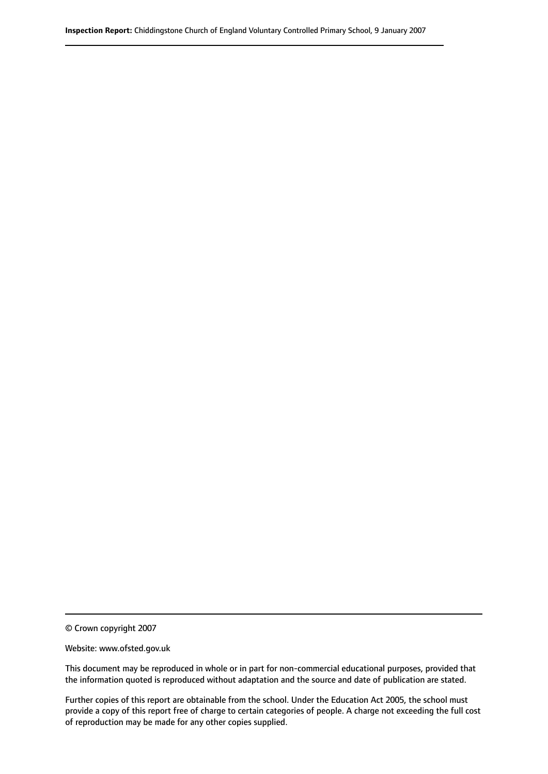© Crown copyright 2007

Website: www.ofsted.gov.uk

This document may be reproduced in whole or in part for non-commercial educational purposes, provided that the information quoted is reproduced without adaptation and the source and date of publication are stated.

Further copies of this report are obtainable from the school. Under the Education Act 2005, the school must provide a copy of this report free of charge to certain categories of people. A charge not exceeding the full cost of reproduction may be made for any other copies supplied.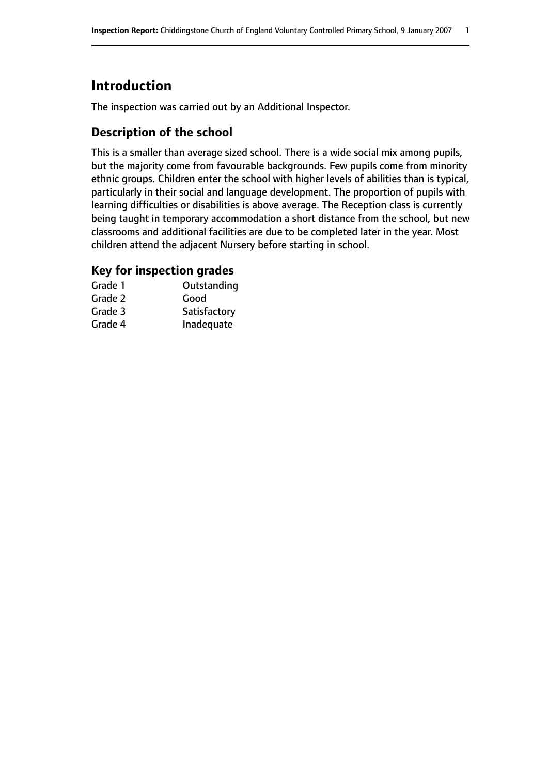# **Introduction**

The inspection was carried out by an Additional Inspector.

## **Description of the school**

This is a smaller than average sized school. There is a wide social mix among pupils, but the majority come from favourable backgrounds. Few pupils come from minority ethnic groups. Children enter the school with higher levels of abilities than is typical, particularly in their social and language development. The proportion of pupils with learning difficulties or disabilities is above average. The Reception class is currently being taught in temporary accommodation a short distance from the school, but new classrooms and additional facilities are due to be completed later in the year. Most children attend the adjacent Nursery before starting in school.

### **Key for inspection grades**

| Grade 1 | Outstanding  |
|---------|--------------|
| Grade 2 | Good         |
| Grade 3 | Satisfactory |
| Grade 4 | Inadequate   |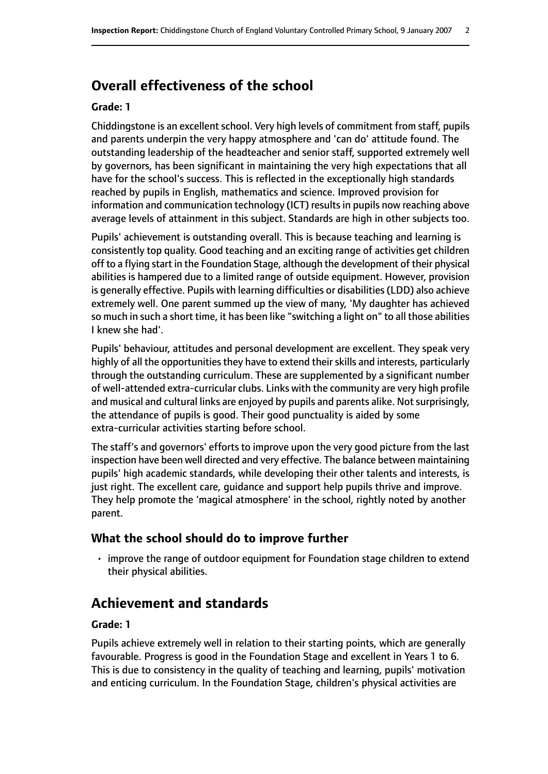# **Overall effectiveness of the school**

#### **Grade: 1**

Chiddingstone is an excellent school. Very high levels of commitment from staff, pupils and parents underpin the very happy atmosphere and 'can do' attitude found. The outstanding leadership of the headteacher and senior staff, supported extremely well by governors, has been significant in maintaining the very high expectations that all have for the school's success. This is reflected in the exceptionally high standards reached by pupils in English, mathematics and science. Improved provision for information and communication technology (ICT) results in pupils now reaching above average levels of attainment in this subject. Standards are high in other subjects too.

Pupils' achievement is outstanding overall. This is because teaching and learning is consistently top quality. Good teaching and an exciting range of activities get children off to a flying start in the Foundation Stage, although the development of their physical abilities is hampered due to a limited range of outside equipment. However, provision is generally effective. Pupils with learning difficulties or disabilities(LDD) also achieve extremely well. One parent summed up the view of many, 'My daughter has achieved so much in such a short time, it has been like "switching a light on" to all those abilities I knew she had'.

Pupils' behaviour, attitudes and personal development are excellent. They speak very highly of all the opportunities they have to extend their skills and interests, particularly through the outstanding curriculum. These are supplemented by a significant number of well-attended extra-curricular clubs. Links with the community are very high profile and musical and cultural links are enjoyed by pupils and parents alike. Not surprisingly, the attendance of pupils is good. Their good punctuality is aided by some extra-curricular activities starting before school.

The staff's and governors' efforts to improve upon the very good picture from the last inspection have been well directed and very effective. The balance between maintaining pupils' high academic standards, while developing their other talents and interests, is just right. The excellent care, guidance and support help pupils thrive and improve. They help promote the 'magical atmosphere' in the school, rightly noted by another parent.

### **What the school should do to improve further**

• improve the range of outdoor equipment for Foundation stage children to extend their physical abilities.

# **Achievement and standards**

#### **Grade: 1**

Pupils achieve extremely well in relation to their starting points, which are generally favourable. Progress is good in the Foundation Stage and excellent in Years 1 to 6. This is due to consistency in the quality of teaching and learning, pupils' motivation and enticing curriculum. In the Foundation Stage, children's physical activities are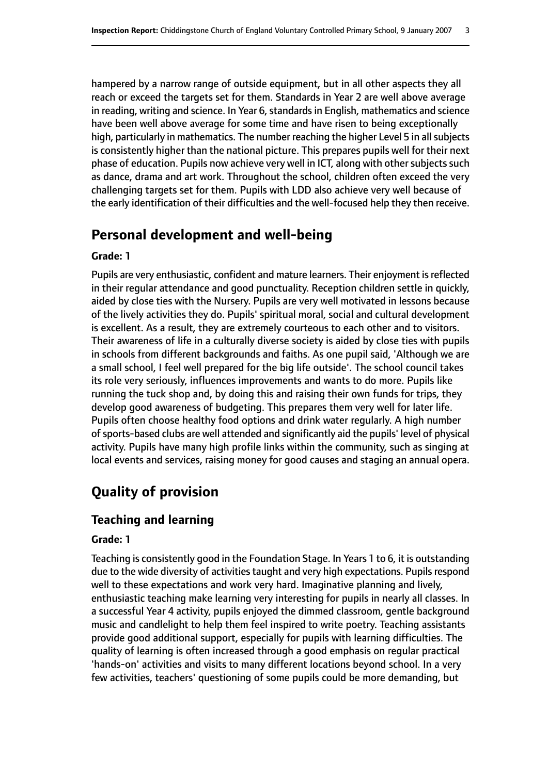hampered by a narrow range of outside equipment, but in all other aspects they all reach or exceed the targets set for them. Standards in Year 2 are well above average in reading, writing and science. In Year 6, standards in English, mathematics and science have been well above average for some time and have risen to being exceptionally high, particularly in mathematics. The number reaching the higher Level 5 in all subjects is consistently higher than the national picture. This prepares pupils well for their next phase of education. Pupils now achieve very well in ICT, along with other subjects such as dance, drama and art work. Throughout the school, children often exceed the very challenging targets set for them. Pupils with LDD also achieve very well because of the early identification of their difficulties and the well-focused help they then receive.

## **Personal development and well-being**

#### **Grade: 1**

Pupils are very enthusiastic, confident and mature learners. Their enjoyment isreflected in their regular attendance and good punctuality. Reception children settle in quickly, aided by close ties with the Nursery. Pupils are very well motivated in lessons because of the lively activities they do. Pupils' spiritual moral, social and cultural development is excellent. As a result, they are extremely courteous to each other and to visitors. Their awareness of life in a culturally diverse society is aided by close ties with pupils in schools from different backgrounds and faiths. As one pupil said, 'Although we are a small school, I feel well prepared for the big life outside'. The school council takes its role very seriously, influences improvements and wants to do more. Pupils like running the tuck shop and, by doing this and raising their own funds for trips, they develop good awareness of budgeting. This prepares them very well for later life. Pupils often choose healthy food options and drink water regularly. A high number ofsports-based clubs are well attended and significantly aid the pupils' level of physical activity. Pupils have many high profile links within the community, such as singing at local events and services, raising money for good causes and staging an annual opera.

# **Quality of provision**

## **Teaching and learning**

#### **Grade: 1**

Teaching is consistently good in the Foundation Stage. In Years 1 to 6, it is outstanding due to the wide diversity of activities taught and very high expectations. Pupils respond well to these expectations and work very hard. Imaginative planning and lively, enthusiastic teaching make learning very interesting for pupils in nearly all classes. In a successful Year 4 activity, pupils enjoyed the dimmed classroom, gentle background music and candlelight to help them feel inspired to write poetry. Teaching assistants provide good additional support, especially for pupils with learning difficulties. The quality of learning is often increased through a good emphasis on regular practical 'hands-on' activities and visits to many different locations beyond school. In a very few activities, teachers' questioning of some pupils could be more demanding, but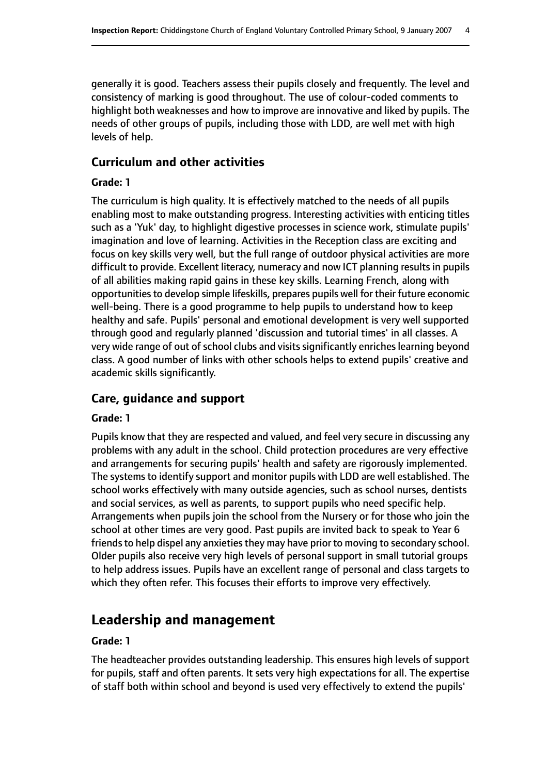generally it is good. Teachers assess their pupils closely and frequently. The level and consistency of marking is good throughout. The use of colour-coded comments to highlight both weaknesses and how to improve are innovative and liked by pupils. The needs of other groups of pupils, including those with LDD, are well met with high levels of help.

#### **Curriculum and other activities**

#### **Grade: 1**

The curriculum is high quality. It is effectively matched to the needs of all pupils enabling most to make outstanding progress. Interesting activities with enticing titles such as a 'Yuk' day, to highlight digestive processes in science work, stimulate pupils' imagination and love of learning. Activities in the Reception class are exciting and focus on key skills very well, but the full range of outdoor physical activities are more difficult to provide. Excellent literacy, numeracy and now ICT planning results in pupils of all abilities making rapid gains in these key skills. Learning French, along with opportunities to develop simple lifeskills, prepares pupils well for their future economic well-being. There is a good programme to help pupils to understand how to keep healthy and safe. Pupils' personal and emotional development is very well supported through good and regularly planned 'discussion and tutorial times' in all classes. A very wide range of out of school clubs and visits significantly enriches learning beyond class. A good number of links with other schools helps to extend pupils' creative and academic skills significantly.

### **Care, guidance and support**

#### **Grade: 1**

Pupils know that they are respected and valued, and feel very secure in discussing any problems with any adult in the school. Child protection procedures are very effective and arrangements for securing pupils' health and safety are rigorously implemented. The systems to identify support and monitor pupils with LDD are well established. The school works effectively with many outside agencies, such as school nurses, dentists and social services, as well as parents, to support pupils who need specific help. Arrangements when pupils join the school from the Nursery or for those who join the school at other times are very good. Past pupils are invited back to speak to Year 6 friends to help dispel any anxieties they may have prior to moving to secondary school. Older pupils also receive very high levels of personal support in small tutorial groups to help address issues. Pupils have an excellent range of personal and class targets to which they often refer. This focuses their efforts to improve very effectively.

## **Leadership and management**

#### **Grade: 1**

The headteacher provides outstanding leadership. This ensures high levels of support for pupils, staff and often parents. It sets very high expectations for all. The expertise of staff both within school and beyond is used very effectively to extend the pupils'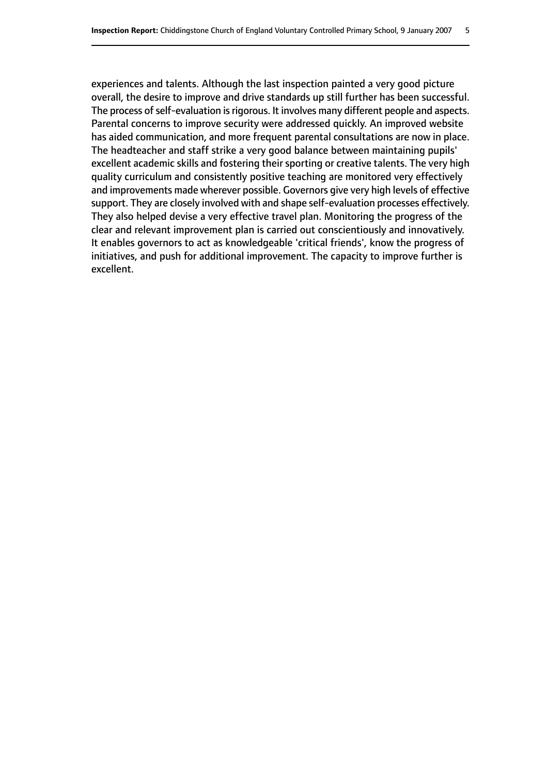experiences and talents. Although the last inspection painted a very good picture overall, the desire to improve and drive standards up still further has been successful. The process of self-evaluation is rigorous. It involves many different people and aspects. Parental concerns to improve security were addressed quickly. An improved website has aided communication, and more frequent parental consultations are now in place. The headteacher and staff strike a very good balance between maintaining pupils' excellent academic skills and fostering their sporting or creative talents. The very high quality curriculum and consistently positive teaching are monitored very effectively and improvements made wherever possible. Governors give very high levels of effective support. They are closely involved with and shape self-evaluation processes effectively. They also helped devise a very effective travel plan. Monitoring the progress of the clear and relevant improvement plan is carried out conscientiously and innovatively. It enables governors to act as knowledgeable 'critical friends', know the progress of initiatives, and push for additional improvement. The capacity to improve further is excellent.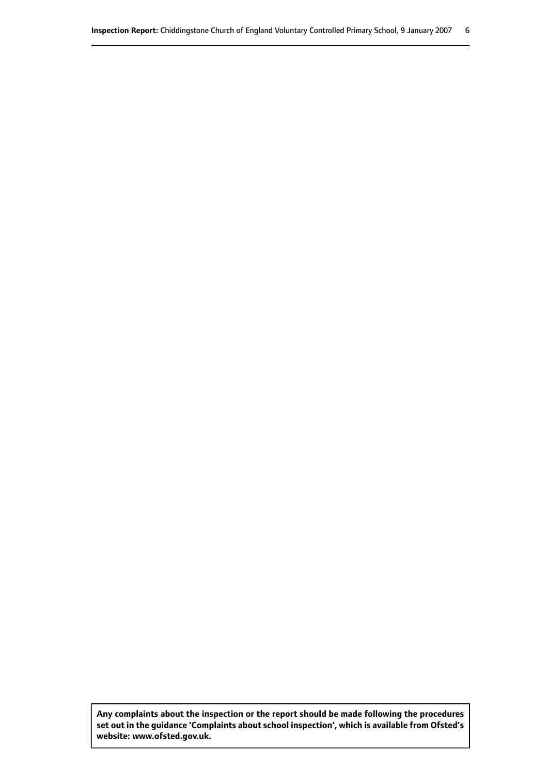**Any complaints about the inspection or the report should be made following the procedures set out inthe guidance 'Complaints about school inspection', whichis available from Ofsted's website: www.ofsted.gov.uk.**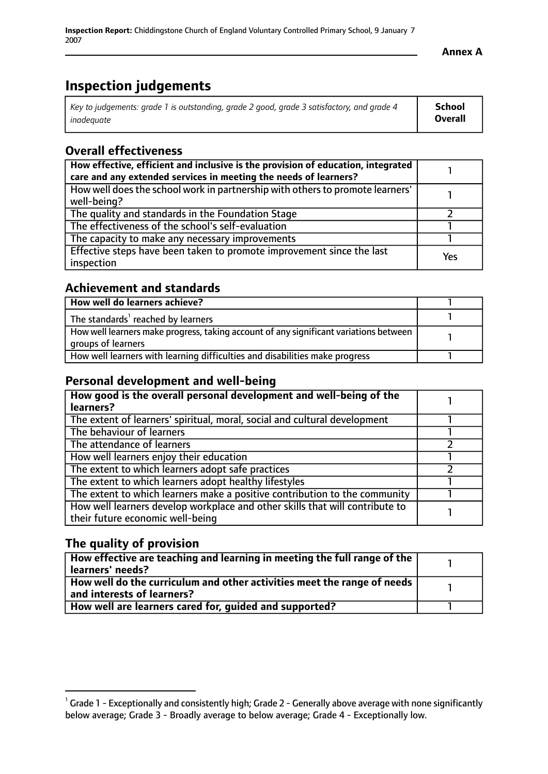# **Inspection judgements**

| Key to judgements: grade 1 is outstanding, grade 2 good, grade 3 satisfactory, and grade 4 | School         |
|--------------------------------------------------------------------------------------------|----------------|
| inadeauate                                                                                 | <b>Overall</b> |

## **Overall effectiveness**

| How effective, efficient and inclusive is the provision of education, integrated<br>care and any extended services in meeting the needs of learners? |     |
|------------------------------------------------------------------------------------------------------------------------------------------------------|-----|
| How well does the school work in partnership with others to promote learners'<br>well-being?                                                         |     |
| The quality and standards in the Foundation Stage                                                                                                    |     |
| The effectiveness of the school's self-evaluation                                                                                                    |     |
| The capacity to make any necessary improvements                                                                                                      |     |
| Effective steps have been taken to promote improvement since the last<br>inspection                                                                  | Yes |

### **Achievement and standards**

| How well do learners achieve?                                                                               |  |
|-------------------------------------------------------------------------------------------------------------|--|
| The standards <sup>1</sup> reached by learners                                                              |  |
| How well learners make progress, taking account of any significant variations between<br>groups of learners |  |
| How well learners with learning difficulties and disabilities make progress                                 |  |

## **Personal development and well-being**

| How good is the overall personal development and well-being of the<br>learners?                                  |  |
|------------------------------------------------------------------------------------------------------------------|--|
| The extent of learners' spiritual, moral, social and cultural development                                        |  |
| The behaviour of learners                                                                                        |  |
| The attendance of learners                                                                                       |  |
| How well learners enjoy their education                                                                          |  |
| The extent to which learners adopt safe practices                                                                |  |
| The extent to which learners adopt healthy lifestyles                                                            |  |
| The extent to which learners make a positive contribution to the community                                       |  |
| How well learners develop workplace and other skills that will contribute to<br>their future economic well-being |  |

## **The quality of provision**

| How effective are teaching and learning in meeting the full range of the<br>  learners' needs?                      |  |
|---------------------------------------------------------------------------------------------------------------------|--|
| $\mid$ How well do the curriculum and other activities meet the range of needs<br>$\mid$ and interests of learners? |  |
| How well are learners cared for, quided and supported?                                                              |  |

 $^1$  Grade 1 - Exceptionally and consistently high; Grade 2 - Generally above average with none significantly below average; Grade 3 - Broadly average to below average; Grade 4 - Exceptionally low.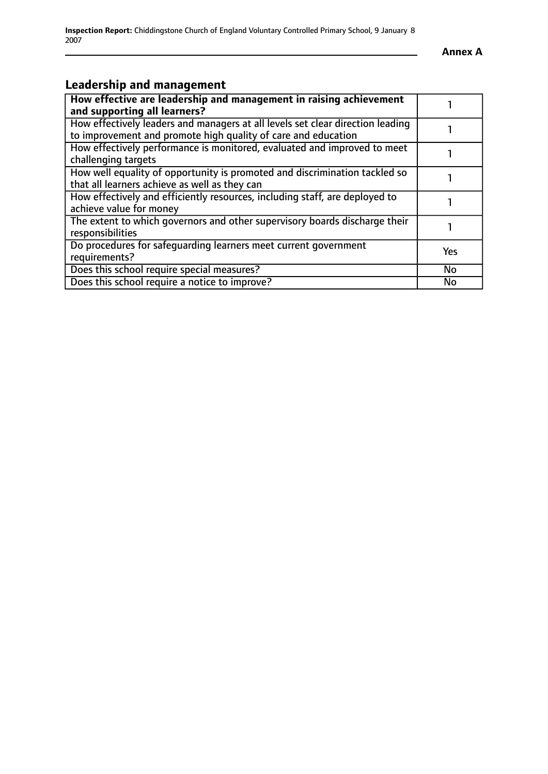## **Leadership and management**

| How effective are leadership and management in raising achievement<br>and supporting all learners?                                              |     |
|-------------------------------------------------------------------------------------------------------------------------------------------------|-----|
| How effectively leaders and managers at all levels set clear direction leading<br>to improvement and promote high quality of care and education |     |
| How effectively performance is monitored, evaluated and improved to meet<br>challenging targets                                                 |     |
| How well equality of opportunity is promoted and discrimination tackled so<br>that all learners achieve as well as they can                     |     |
| How effectively and efficiently resources, including staff, are deployed to<br>achieve value for money                                          |     |
| The extent to which governors and other supervisory boards discharge their<br>responsibilities                                                  |     |
| Do procedures for safequarding learners meet current government<br>requirements?                                                                | Yes |
| Does this school require special measures?                                                                                                      | No  |
| Does this school require a notice to improve?                                                                                                   | No  |